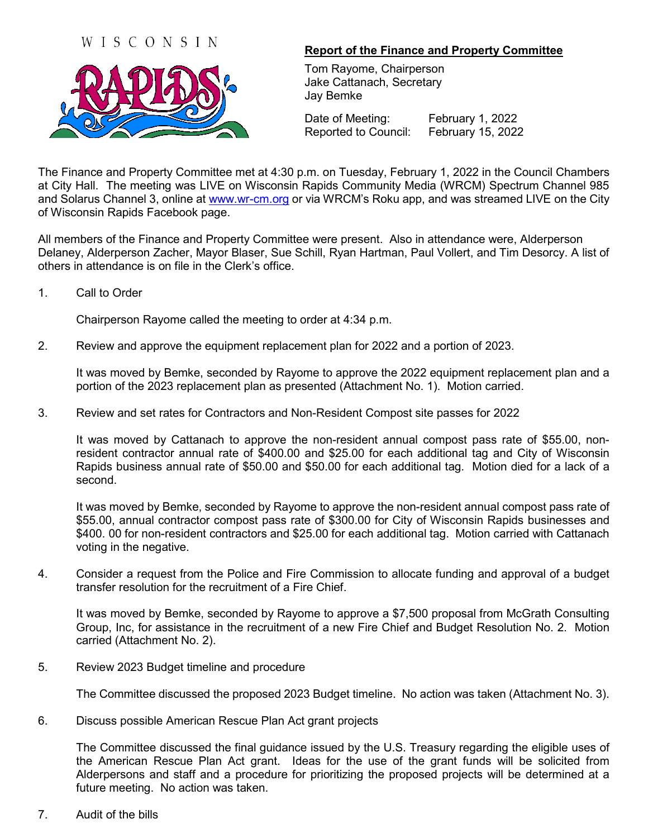## WISCONSIN



## **Report of the Finance and Property Committee**

Tom Rayome, Chairperson Jake Cattanach, Secretary Jay Bemke

Date of Meeting: February 1, 2022 Reported to Council: February 15, 2022

The Finance and Property Committee met at 4:30 p.m. on Tuesday, February 1, 2022 in the Council Chambers at City Hall. The meeting was LIVE on Wisconsin Rapids Community Media (WRCM) Spectrum Channel 985 and Solarus Channel 3, online at [www.wr-cm.org](http://www.wr-cm.org/) or via WRCM's Roku app, and was streamed LIVE on the City of Wisconsin Rapids Facebook page.

All members of the Finance and Property Committee were present. Also in attendance were, Alderperson Delaney, Alderperson Zacher, Mayor Blaser, Sue Schill, Ryan Hartman, Paul Vollert, and Tim Desorcy. A list of others in attendance is on file in the Clerk's office.

1. Call to Order

Chairperson Rayome called the meeting to order at 4:34 p.m.

2. Review and approve the equipment replacement plan for 2022 and a portion of 2023.

It was moved by Bemke, seconded by Rayome to approve the 2022 equipment replacement plan and a portion of the 2023 replacement plan as presented (Attachment No. 1). Motion carried.

3. Review and set rates for Contractors and Non-Resident Compost site passes for 2022

It was moved by Cattanach to approve the non-resident annual compost pass rate of \$55.00, nonresident contractor annual rate of \$400.00 and \$25.00 for each additional tag and City of Wisconsin Rapids business annual rate of \$50.00 and \$50.00 for each additional tag. Motion died for a lack of a second.

It was moved by Bemke, seconded by Rayome to approve the non-resident annual compost pass rate of \$55.00, annual contractor compost pass rate of \$300.00 for City of Wisconsin Rapids businesses and \$400. 00 for non-resident contractors and \$25.00 for each additional tag. Motion carried with Cattanach voting in the negative.

4. Consider a request from the Police and Fire Commission to allocate funding and approval of a budget transfer resolution for the recruitment of a Fire Chief.

It was moved by Bemke, seconded by Rayome to approve a \$7,500 proposal from McGrath Consulting Group, Inc, for assistance in the recruitment of a new Fire Chief and Budget Resolution No. 2. Motion carried (Attachment No. 2).

5. Review 2023 Budget timeline and procedure

The Committee discussed the proposed 2023 Budget timeline. No action was taken (Attachment No. 3).

6. Discuss possible American Rescue Plan Act grant projects

The Committee discussed the final guidance issued by the U.S. Treasury regarding the eligible uses of the American Rescue Plan Act grant. Ideas for the use of the grant funds will be solicited from Alderpersons and staff and a procedure for prioritizing the proposed projects will be determined at a future meeting. No action was taken.

7. Audit of the bills